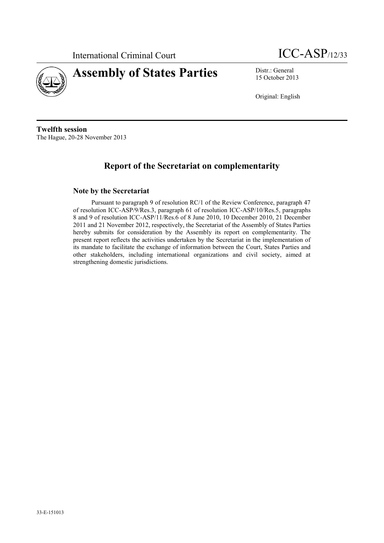

# **Assembly of States Parties** Distr.: General

15 October 2013

Original: English

**Twelfth session** The Hague, 20-28 November 2013

## **Report of the Secretariat on complementarity**

#### **Note by the Secretariat**

Pursuant to paragraph 9 of resolution RC/1 of the Review Conference, paragraph 47 of resolution ICC-ASP/9/Res.3, paragraph 61 of resolution ICC-ASP/10/Res.5, paragraphs 8 and 9 of resolution ICC-ASP/11/Res.6 of 8 June 2010, 10 December 2010, 21 December 2011 and 21 November 2012, respectively, the Secretariat of the Assembly of States Parties hereby submits for consideration by the Assembly its report on complementarity. The present report reflects the activities undertaken by the Secretariat in the implementation of its mandate to facilitate the exchange of information between the Court, States Parties and other stakeholders, including international organizations and civil society, aimed at strengthening domestic jurisdictions.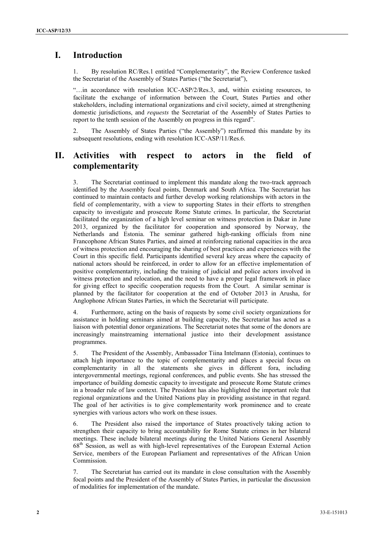## **I. Introduction**

1. By resolution RC/Res.1 entitled "Complementarity", the Review Conference tasked the Secretariat of the Assembly of States Parties ("the Secretariat"),

"…in accordance with resolution ICC-ASP/2/Res.3, and, within existing resources, to facilitate the exchange of information between the Court, States Parties and other stakeholders, including international organizations and civil society, aimed at strengthening domestic jurisdictions, and *requests* the Secretariat of the Assembly of States Parties to report to the tenth session of the Assembly on progress in this regard".

2. The Assembly of States Parties ("the Assembly") reaffirmed this mandate by its subsequent resolutions, ending with resolution ICC-ASP/11/Res.6.

### **II. Activities with respect to actors in the field of complementarity**

3. The Secretariat continued to implement this mandate along the two-track approach identified by the Assembly focal points, Denmark and South Africa. The Secretariat has continued to maintain contacts and further develop working relationships with actors in the field of complementarity, with a view to supporting States in their efforts to strengthen capacity to investigate and prosecute Rome Statute crimes. In particular, the Secretariat facilitated the organization of a high level seminar on witness protection in Dakar in June 2013, organized by the facilitator for cooperation and sponsored by Norway, the Netherlands and Estonia. The seminar gathered high-ranking officials from nine Francophone African States Parties, and aimed at reinforcing national capacities in the area of witness protection and encouraging the sharing of best practices and experiences with the Court in this specific field. Participants identified several key areas where the capacity of national actors should be reinforced, in order to allow for an effective implementation of positive complementarity, including the training of judicial and police actors involved in witness protection and relocation, and the need to have a proper legal framework in place for giving effect to specific cooperation requests from the Court. A similar seminar is planned by the facilitator for cooperation at the end of October 2013 in Arusha, for Anglophone African States Parties, in which the Secretariat will participate.

4. Furthermore, acting on the basis of requests by some civil society organizations for assistance in holding seminars aimed at building capacity, the Secretariat has acted as a liaison with potential donor organizations. The Secretariat notes that some of the donors are increasingly mainstreaming international justice into their development assistance programmes.

5. The President of the Assembly, Ambassador Tiina Intelmann (Estonia), continues to attach high importance to the topic of complementarity and places a special focus on complementarity in all the statements she gives in different fora, including intergovernmental meetings, regional conferences, and public events. She has stressed the importance of building domestic capacity to investigate and prosecute Rome Statute crimes in a broader rule of law context. The President has also highlighted the important role that regional organizations and the United Nations play in providing assistance in that regard. The goal of her activities is to give complementarity work prominence and to create synergies with various actors who work on these issues.

6. The President also raised the importance of States proactively taking action to strengthen their capacity to bring accountability for Rome Statute crimes in her bilateral meetings. These include bilateral meetings during the United Nations General Assembly 68th Session, as well as with high-level representatives of the European External Action Service, members of the European Parliament and representatives of the African Union **Commission** 

7. The Secretariat has carried out its mandate in close consultation with the Assembly focal points and the President of the Assembly of States Parties, in particular the discussion of modalities for implementation of the mandate.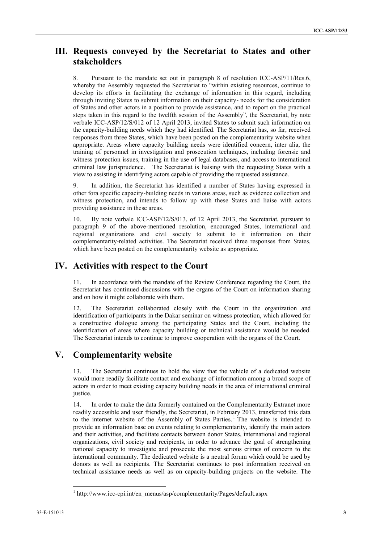#### **III. Requests conveyed by the Secretariat to States and other stakeholders**

8. Pursuant to the mandate set out in paragraph 8 of resolution ICC-ASP/11/Res.6, whereby the Assembly requested the Secretariat to "within existing resources, continue to develop its efforts in facilitating the exchange of information in this regard, including through inviting States to submit information on their capacity- needs for the consideration of States and other actors in a position to provide assistance, and to report on the practical steps taken in this regard to the twelfth session of the Assembly", the Secretariat, by note verbale ICC-ASP/12/S/012 of 12 April 2013, invited States to submit such information on the capacity-building needs which they had identified. The Secretariat has, so far, received responses from three States, which have been posted on the complementarity website when appropriate. Areas where capacity building needs were identified concern, inter alia, the training of personnel in investigation and prosecution techniques, including forensic and witness protection issues, training in the use of legal databases, and access to international criminal law jurisprudence. The Secretariat is liaising with the requesting States with a view to assisting in identifying actors capable of providing the requested assistance.

9. In addition, the Secretariat has identified a number of States having expressed in other fora specific capacity-building needs in various areas, such as evidence collection and witness protection, and intends to follow up with these States and liaise with actors providing assistance in these areas.

10. By note verbale ICC-ASP/12/S/013, of 12 April 2013, the Secretariat, pursuant to paragraph 9 of the above-mentioned resolution, encouraged States, international and regional organizations and civil society to submit to it information on their complementarity-related activities. The Secretariat received three responses from States, which have been posted on the complementarity website as appropriate.

#### **IV. Activities with respect to the Court**

11. In accordance with the mandate of the Review Conference regarding the Court, the Secretariat has continued discussions with the organs of the Court on information sharing and on how it might collaborate with them.

12. The Secretariat collaborated closely with the Court in the organization and identification of participants in the Dakar seminar on witness protection, which allowed for a constructive dialogue among the participating States and the Court, including the identification of areas where capacity building or technical assistance would be needed. The Secretariat intends to continue to improve cooperation with the organs of the Court.

## **V. Complementarity website**

13. The Secretariat continues to hold the view that the vehicle of a dedicated website would more readily facilitate contact and exchange of information among a broad scope of actors in order to meet existing capacity building needs in the area of international criminal justice.

14. In order to make the data formerly contained on the Complementarity Extranet more readily accessible and user friendly, the Secretariat, in February 2013, transferred this data to the internet website of the Assembly of States Parties.<sup>1</sup> The website is intended to provide an information base on events relating to complementarity, identify the main actors and their activities, and facilitate contacts between donor States, international and regional organizations, civil society and recipients, in order to advance the goal of strengthening national capacity to investigate and prosecute the most serious crimes of concern to the international community. The dedicated website is a neutral forum which could be used by donors as well as recipients. The Secretariat continues to post information received on technical assistance needs as well as on capacity-building projects on the website. The

 $\overline{a}$ 

<sup>&</sup>lt;sup>1</sup> http://www.icc-cpi.int/en\_menus/asp/complementarity/Pages/default.aspx